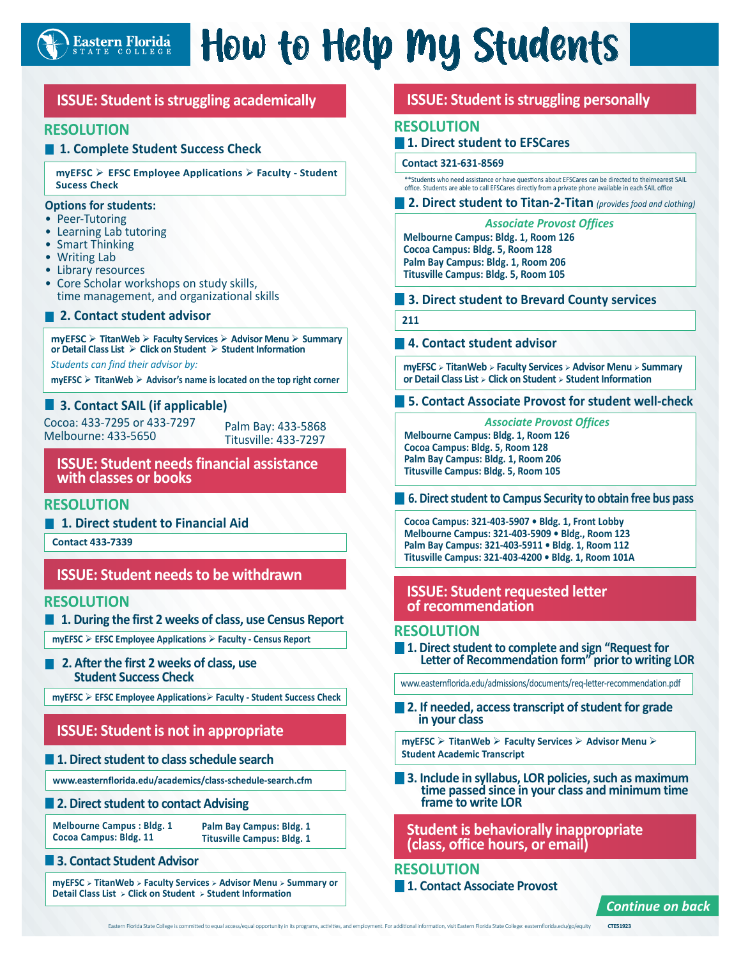

# How to Help My Students

# **ISSUE: Student is struggling academically**

## **RESOLUTION**

### **1. Complete Student Success Check**

**myEFSC EFSC Employee Applications Faculty - Student Sucess Check**

#### **Options for students:**

- Peer-Tutoring
- Learning Lab tutoring
- Smart Thinking
- Writing Lab
- Library resources
- Core Scholar workshops on study skills, time management, and organizational skills
- **2. Contact student advisor**

**myEFSC TitanWeb Faculty Services Advisor Menu Summary or Detail Class List Click on Student Student Information**

*Students can find their advisor by:*

**myEFSC TitanWeb Advisor's name is located on the top right corner**

### **3. Contact SAIL (if applicable)**

Cocoa: 433-7295 or 433-7297 Cocoa: 433-7295 or 433-7297 Palm Bay: 433-5868<br>Melbourne: 433-5650 Fitusville: 433-7297

Titusville: 433-7297

**ISSUE: Student needs financial assistance with classes or books**

## **RESOLUTION**

**1. Direct student to Financial Aid**

**Contact 433-7339**

## **ISSUE: Student needs to be withdrawn**

#### **RESOLUTION**

**1. During the first 2 weeks of class, use Census Report** 

**myEFSC EFSC Employee Applications Faculty - Census Report**

**2. After the first 2 weeks of class, use Student Success Check**

**myEFSC EFSC Employee Applications Faculty - Student Success Check**

# **ISSUE: Student is not in appropriate**

#### **1. Direct student to class schedule search**

**www.easternflorida.edu/academics/class-schedule-search.cfm**

#### **2. Direct student to contact Advising**

**Melbourne Campus : Bldg. 1 Cocoa Campus: Bldg. 11**

**Palm Bay Campus: Bldg. 1 Titusville Campus: Bldg. 1**

### **3. Contact Student Advisor**

**myEFSC TitanWeb Faculty Services Advisor Menu Summary or Detail Class List Click on Student Student Information** 

## **ISSUE: Student is struggling personally**

### **RESOLUTION**

#### **1. Direct student to EFSCares**

#### **Contact 321-631-8569**

\*\*Students who need assistance or have questions about EFSCares can be directed to theirnearest SAIL office. Students are able to call EFSCares directly from a private phone available in each SAIL office

#### **2. Direct student to Titan-2-Titan** *(provides food and clothing)*

*Associate Provost Offices*

**Melbourne Campus: Bldg. 1, Room 126 Cocoa Campus: Bldg. 5, Room 128 Palm Bay Campus: Bldg. 1, Room 206 Titusville Campus: Bldg. 5, Room 105**

#### **3. Direct student to Brevard County services**

**211**

#### **4. Contact student advisor**

**myEFSC TitanWeb Faculty Services Advisor Menu Summary or Detail Class List Click on Student Student Information**

**5. Contact Associate Provost for student well-check**

*Associate Provost Offices* **Melbourne Campus: Bldg. 1, Room 126 Cocoa Campus: Bldg. 5, Room 128 Palm Bay Campus: Bldg. 1, Room 206 Titusville Campus: Bldg. 5, Room 105**

**6. Direct student to Campus Security to obtain free bus pass**

**Cocoa Campus: 321-403-5907 • Bldg. 1, Front Lobby Melbourne Campus: 321-403-5909 • Bldg., Room 123 Palm Bay Campus: 321-403-5911 • Bldg. 1, Room 112 Titusville Campus: 321-403-4200 • Bldg. 1, Room 101A** 

## **ISSUE: Student requested letter of recommendation**

#### **RESOLUTION**

**1. Direct student to complete and sign "Request for Letter of Recommendation form" prior to writing LOR**

www.easternflorida.edu/admissions/documents/req-letter-recommendation.pdf

**2. If needed, access transcript of student for grade in your class**

**myEFSC TitanWeb Faculty Services Advisor Menu Student Academic Transcript**

**3. Include in syllabus, LOR policies, such as maximum time passed since in your class and minimum time frame to write LOR**

**Student is behaviorally inappropriate (class, office hours, or email)**

## **RESOLUTION**

**1. Contact Associate Provost**

*Continue on back*